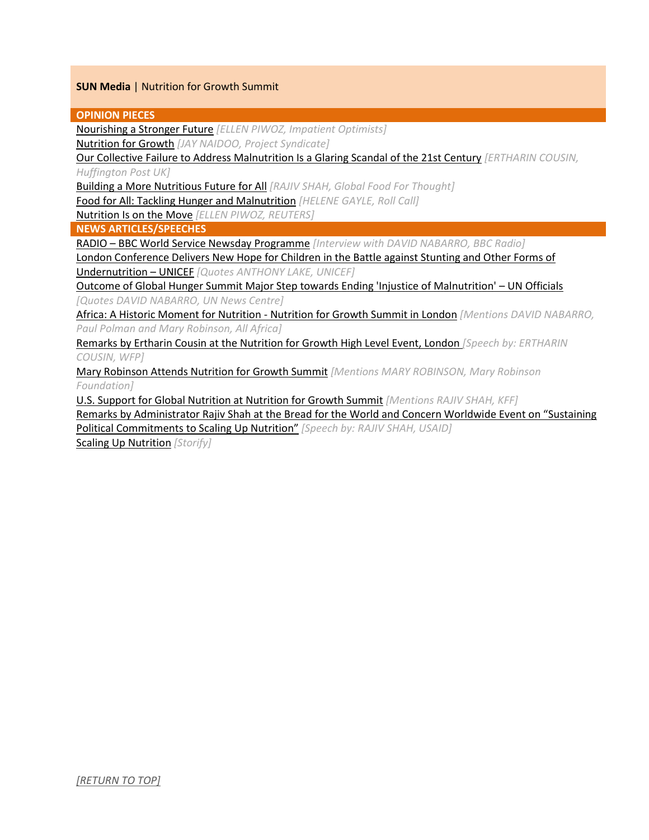# **SUN Media** | Nutrition for Growth Summit

### **OPINION PIECES**

[Nourishing a Stronger Future](#page-1-0) *[ELLEN PIWOZ, Impatient Optimists]*

[Nutrition for Growth](#page-1-1) *[JAY NAIDOO, Project Syndicate]*

[Our Collective Failure to Address Malnutrition Is a Glaring Scandal of the 21st Century](#page-1-2) *[ERTHARIN COUSIN, Huffington Post UK]*

[Building a More Nutritious Future for All](#page-1-3) *[RAJIV SHAH, Global Food For Thought]*

[Food for All: Tackling Hunger and Malnutrition](#page-2-0) *[HELENE GAYLE, Roll Call]*

[Nutrition Is on the Move](#page-2-1) *[ELLEN PIWOZ, REUTERS]*

**NEWS ARTICLES/SPEECHES**

RADIO – [BBC World Service Newsday Programme](#page-2-2) *[Interview with DAVID NABARRO, BBC Radio]*

[London Conference Delivers New Hope for Children in the Battle against Stunting and Other Forms of](#page-2-3)  [Undernutrition](#page-2-3) – UNICEF *[Quotes ANTHONY LAKE, UNICEF]*

[Outcome of Global Hunger Summit Major Step towards Ending 'Injustice of Malnutrition'](#page-3-0) – UN Officials *[Quotes DAVID NABARRO, UN News Centre]*

[Africa: A Historic Moment for Nutrition -](#page-3-1) Nutrition for Growth Summit in London *[Mentions DAVID NABARRO, Paul Polman and Mary Robinson, All Africa]*

Remarks by Ertharin [Cousin at the Nutrition for Growth High Level Event, London](#page-3-2) *[Speech by: ERTHARIN COUSIN, WFP]*

[Mary Robinson Attends Nutrition for Growth Summit](#page-3-3) *[Mentions MARY ROBINSON, Mary Robinson Foundation]*

[U.S. Support for Global Nutrition at Nutrition for Growth Summit](#page-4-1) *[Mentions RAJIV SHAH, KFF]*

[Remarks by Administrator Rajiv Shah at the Bread for the World and Concern Worldwide Event on "Sustaining](#page-4-2)  Political Commitments [to Scaling Up Nutrition"](#page-4-2) *[Speech by: RAJIV SHAH, USAID]*

[Scaling Up Nutrition](#page-4-0) *[Storify]*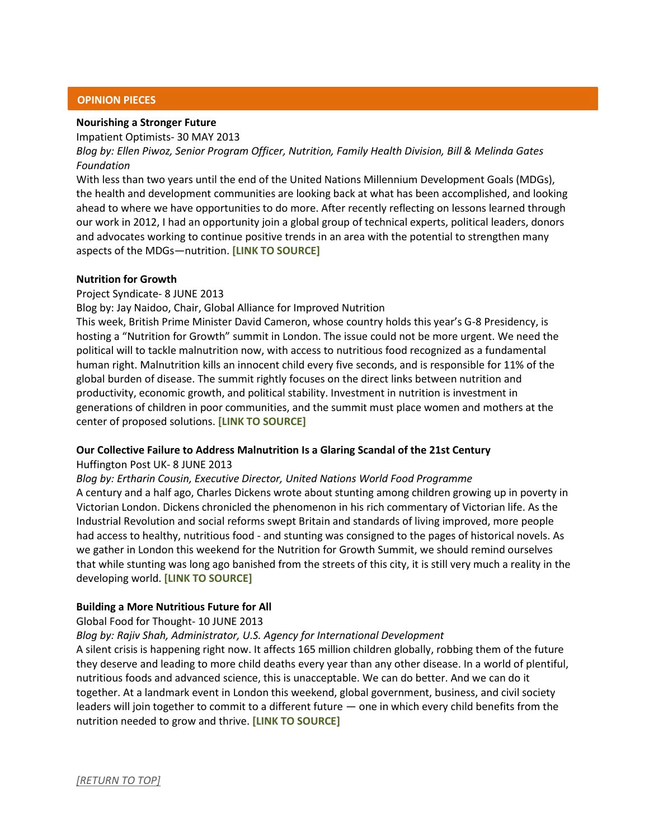## **OPINION PIECES**

# <span id="page-1-0"></span>**Nourishing a Stronger Future**

Impatient Optimists- 30 MAY 2013

*Blog by: Ellen Piwoz, Senior Program Officer, Nutrition, Family Health Division, Bill & Melinda Gates Foundation*

With less than two years until the end of the United Nations Millennium Development Goals (MDGs), the health and development communities are looking back at what has been accomplished, and looking ahead to where we have opportunities to do more. After recently reflecting on lessons learned through our work in 2012, I had an opportunity join a global group of technical experts, political leaders, donors and advocates working to continue positive trends in an area with the potential to strengthen many aspects of the MDGs—nutrition. **[\[LINK TO SOURCE\]](http://www.impatientoptimists.org/Posts/2013/05/Nourishing-a-Stronger-Future)**

### <span id="page-1-1"></span>**Nutrition for Growth**

## Project Syndicate- 8 JUNE 2013

Blog by: Jay Naidoo, Chair, Global Alliance for Improved Nutrition

This week, British Prime Minister David Cameron, whose country holds this year's G-8 Presidency, is hosting a "Nutrition for Growth" summit in London. The issue could not be more urgent. We need the political will to tackle malnutrition now, with access to nutritious food recognized as a fundamental human right. Malnutrition kills an innocent child every five seconds, and is responsible for 11% of the global burden of disease. The summit rightly focuses on the direct links between nutrition and productivity, economic growth, and political stability. Investment in nutrition is investment in generations of children in poor communities, and the summit must place women and mothers at the center of proposed solutions. **[\[LINK TO SOURCE\]](http://www.project-syndicate.org/commentary/the-link-between-nutrition-and-economic-performance-by-jay-naidoo)**

### <span id="page-1-2"></span>**Our Collective Failure to Address Malnutrition Is a Glaring Scandal of the 21st Century**

### Huffington Post UK- 8 JUNE 2013

*Blog by: Ertharin Cousin, Executive Director, United Nations World Food Programme* A century and a half ago, Charles Dickens wrote about stunting among children growing up in poverty in Victorian London. Dickens chronicled the phenomenon in his rich commentary of Victorian life. As the Industrial Revolution and social reforms swept Britain and standards of living improved, more people had access to healthy, nutritious food - and stunting was consigned to the pages of historical novels. As we gather in London this weekend for the Nutrition for Growth Summit, we should remind ourselves that while stunting was long ago banished from the streets of this city, it is still very much a reality in the developing world. **[\[LINK TO SOURCE\]](http://www.huffingtonpost.co.uk/ertharin-cousin/world-food-programme-malnutrition_b_3403736.html)**

# <span id="page-1-3"></span>**Building a More Nutritious Future for All**

### Global Food for Thought- 10 JUNE 2013

# *Blog by: Rajiv Shah, Administrator, U.S. Agency for International Development*

A silent crisis is happening right now. It affects 165 million children globally, robbing them of the future they deserve and leading to more child deaths every year than any other disease. In a world of plentiful, nutritious foods and advanced science, this is unacceptable. We can do better. And we can do it together. At a landmark event in London this weekend, global government, business, and civil society leaders will join together to commit to a different future — one in which every child benefits from the nutrition needed to grow and thrive. **[\[LINK TO SOURCE\]](http://globalfoodforthought.typepad.com/global-food-for-thought/2013/06/commentary-building-a-more-nutritious-future-for-all.html#more)**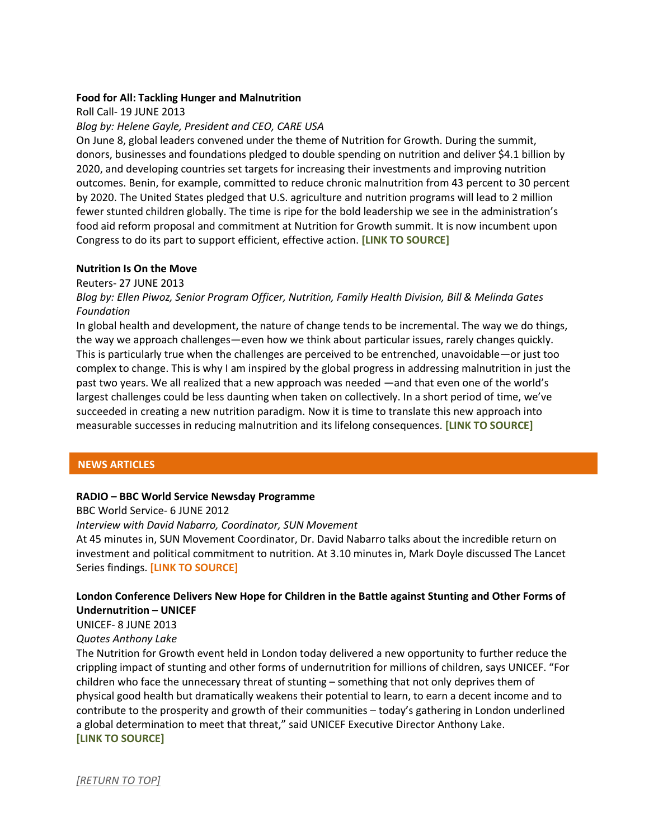### <span id="page-2-0"></span>**Food for All: Tackling Hunger and Malnutrition**

Roll Call- 19 JUNE 2013

*Blog by: Helene Gayle, President and CEO, CARE USA*

On June 8, global leaders convened under the theme of Nutrition for Growth. During the summit, donors, businesses and foundations pledged to double spending on nutrition and deliver \$4.1 billion by 2020, and developing countries set targets for increasing their investments and improving nutrition outcomes. Benin, for example, committed to reduce chronic malnutrition from 43 percent to 30 percent by 2020. The United States pledged that U.S. agriculture and nutrition programs will lead to 2 million fewer stunted children globally. The time is ripe for the bold leadership we see in the administration's food aid reform proposal and commitment at Nutrition for Growth summit. It is now incumbent upon Congress to do its part to support efficient, effective action. **[\[LINK TO SOURCE\]](http://www.rollcall.com/news/food_for_all_tackling_hunger_and_malnutrition_commentary-225769-1.html?pg=2)**

## <span id="page-2-1"></span>**Nutrition Is On the Move**

Reuters- 27 JUNE 2013

*Blog by: Ellen Piwoz, Senior Program Officer, Nutrition, Family Health Division, Bill & Melinda Gates Foundation*

In global health and development, the nature of change tends to be incremental. The way we do things, the way we approach challenges—even how we think about particular issues, rarely changes quickly. This is particularly true when the challenges are perceived to be entrenched, unavoidable—or just too complex to change. This is why I am inspired by the global progress in addressing malnutrition in just the past two years. We all realized that a new approach was needed —and that even one of the world's largest challenges could be less daunting when taken on collectively. In a short period of time, we've succeeded in creating a new nutrition paradigm. Now it is time to translate this new approach into measurable successes in reducing malnutrition and its lifelong consequences. **[\[LINK TO SOURCE\]](http://www.trust.org/item/20130627173918-4l8c1/?source=hpblogs)**

# **NEWS ARTICLES**

# <span id="page-2-2"></span>**RADIO – BBC World Service Newsday Programme**

BBC World Service- 6 JUNE 2012 *Interview with David Nabarro, Coordinator, SUN Movement* At 45 minutes in, SUN Movement Coordinator, Dr. David Nabarro talks about the incredible return on investment and political commitment to nutrition. At 3.10 minutes in, Mark Doyle discussed The Lancet Series findings. **[\[LINK TO SOURCE\]](http://www.bbc.co.uk/programmes/p01936z6)**

# <span id="page-2-3"></span>**London Conference Delivers New Hope for Children in the Battle against Stunting and Other Forms of Undernutrition – UNICEF**

UNICEF- 8 JUNE 2013

*Quotes Anthony Lake*

The Nutrition for Growth event held in London today delivered a new opportunity to further reduce the crippling impact of stunting and other forms of undernutrition for millions of children, says UNICEF. "For children who face the unnecessary threat of stunting – something that not only deprives them of physical good health but dramatically weakens their potential to learn, to earn a decent income and to contribute to the prosperity and growth of their communities – today's gathering in London underlined a global determination to meet that threat," said UNICEF Executive Director Anthony Lake. **[\[LINK TO SOURCE\]](http://www.unicef.org/media/media_69574.html)**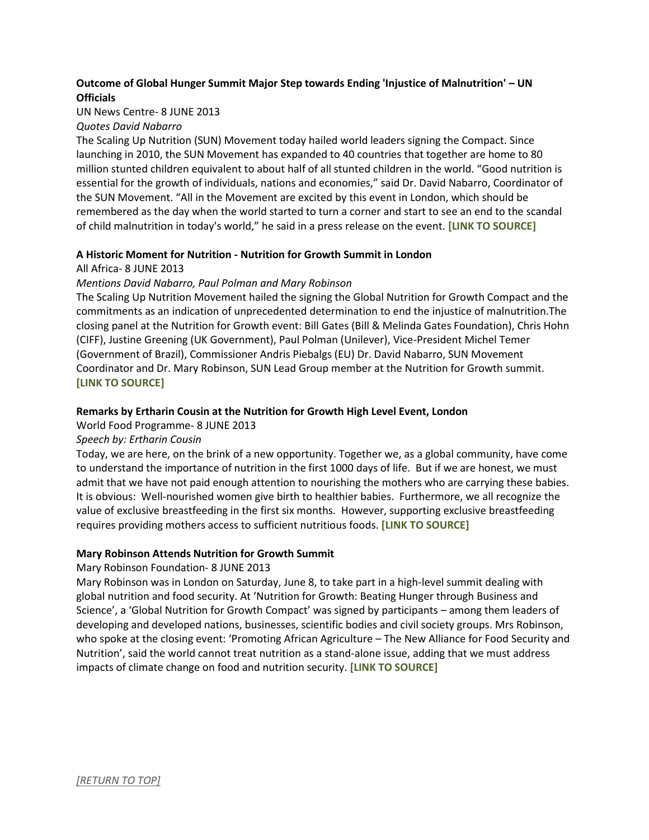# <span id="page-3-0"></span>**Outcome of Global Hunger Summit Major Step towards Ending 'Injustice of Malnutrition' – UN Officials**

## UN News Centre- 8 JUNE 2013

## *Quotes David Nabarro*

The Scaling Up Nutrition (SUN) Movement today hailed world leaders signing the Compact. Since launching in 2010, the SUN Movement has expanded to 40 countries that together are home to 80 million stunted children equivalent to about half of all stunted children in the world. "Good nutrition is essential for the growth of individuals, nations and economies," said Dr. David Nabarro, Coordinator of the SUN Movement. "All in the Movement are excited by this event in London, which should be remembered as the day when the world started to turn a corner and start to see an end to the scandal of child malnutrition in today's world," he said in a press release on the event. **[\[LINK TO SOURCE\]](http://www.un.org/apps/news/story.asp?NewsID=45125&Cr=malnutrition&Cr1#.UcxUZvm1G4h)**

## <span id="page-3-1"></span>**A Historic Moment for Nutrition - Nutrition for Growth Summit in London**

## All Africa- 8 JUNE 2013

## *Mentions David Nabarro, Paul Polman and Mary Robinson*

The Scaling Up Nutrition Movement hailed the signing the Global Nutrition for Growth Compact and the commitments as an indication of unprecedented determination to end the injustice of malnutrition.The closing panel at the Nutrition for Growth event: Bill Gates (Bill & Melinda Gates Foundation), Chris Hohn (CIFF), Justine Greening (UK Government), Paul Polman (Unilever), Vice-President Michel Temer (Government of Brazil), Commissioner Andris Piebalgs (EU) Dr. David Nabarro, SUN Movement Coordinator and Dr. Mary Robinson, SUN Lead Group member at the Nutrition for Growth summit. **[\[LINK TO SOURCE\]](http://allafrica.com/stories/201306240085.html)**

## <span id="page-3-2"></span>**Remarks by Ertharin Cousin at the Nutrition for Growth High Level Event, London**

### World Food Programme- 8 JUNE 2013

# *Speech by: Ertharin Cousin*

Today, we are here, on the brink of a new opportunity. Together we, as a global community, have come to understand the importance of nutrition in the first 1000 days of life. But if we are honest, we must admit that we have not paid enough attention to nourishing the mothers who are carrying these babies. It is obvious: Well-nourished women give birth to healthier babies. Furthermore, we all recognize the value of exclusive breastfeeding in the first six months. However, supporting exclusive breastfeeding requires providing mothers access to sufficient nutritious foods. **[\[LINK TO SOURCE\]](http://www.wfp.org/eds-centre/speeches/remarks-ertharin-cousin-nutrition-growth-high-level-event-london)**

### <span id="page-3-3"></span>**Mary Robinson Attends Nutrition for Growth Summit**

# Mary Robinson Foundation- 8 JUNE 2013

Mary Robinson was in London on Saturday, June 8, to take part in a high-level summit dealing with global nutrition and food security. At 'Nutrition for Growth: Beating Hunger through Business and Science', a 'Global Nutrition for Growth Compact' was signed by participants – among them leaders of developing and developed nations, businesses, scientific bodies and civil society groups. Mrs Robinson, who spoke at the closing event: 'Promoting African Agriculture – The New Alliance for Food Security and Nutrition', said the world cannot treat nutrition as a stand-alone issue, adding that we must address impacts of climate change on food and nutrition security. **[\[LINK TO SOURCE\]](http://www.mrfcj.org/news/2013/mary-robinson-attends-nutrition-for-growth-summit.html)**